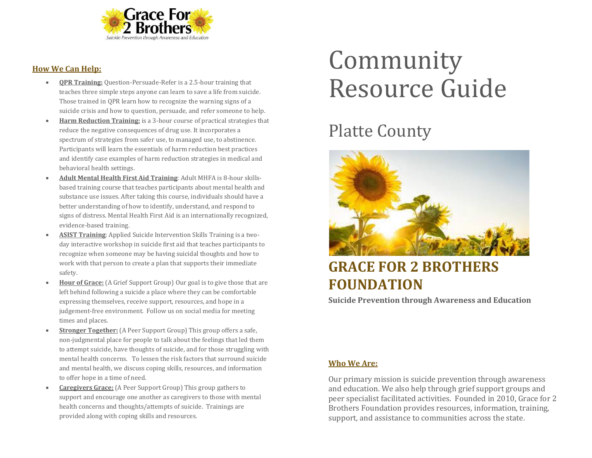

#### **How We Can Help:**

- **QPR Training:** Question-Persuade-Refer is a 2.5-hour training that teaches three simple steps anyone can learn to save a life from suicide. Those trained in QPR learn how to recognize the warning signs of a suicide crisis and how to question, persuade, and refer someone to help.
- **Harm Reduction Training:** is a 3-hour course of practical strategies that reduce the negative consequences of drug use. It incorporates a spectrum of strategies from safer use, to managed use, to abstinence. Participants will learn the essentials of harm reduction best practices and identify case examples of harm reduction strategies in medical and behavioral health settings.
- **Adult Mental Health First Aid Training**: Adult MHFA is 8-hour skillsbased training course that teaches participants about mental health and substance use issues. After taking this course, individuals should have a better understanding of how to identify, understand, and respond to signs of distress. Mental Health First Aid is an internationally recognized, evidence-based training.
- **ASIST Training**: Applied Suicide Intervention Skills Training is a twoday interactive workshop in suicide first aid that teaches participants to recognize when someone may be having suicidal thoughts and how to work with that person to create a plan that supports their immediate safety.
- **Hour of Grace:** (A Grief Support Group) Our goal is to give those that are left behind following a suicide a place where they can be comfortable expressing themselves, receive support, resources, and hope in a judgement-free environment. Follow us on social media for meeting times and places.
- **Stronger Together:** (A Peer Support Group) This group offers a safe, non-judgmental place for people to talk about the feelings that led them to attempt suicide, have thoughts of suicide, and for those struggling with mental health concerns. To lessen the risk factors that surround suicide and mental health, we discuss coping skills, resources, and information to offer hope in a time of need.
- **Caregivers Grace:** (A Peer Support Group) This group gathers to support and encourage one another as caregivers to those with mental health concerns and thoughts/attempts of suicide. Trainings are provided along with coping skills and resources.

# Community Resource Guide

## Platte County



### **GRACE FOR 2 BROTHERS FOUNDATION**

**Suicide Prevention through Awareness and Education**

#### **Who We Are:**

Our primary mission is suicide prevention through awareness and education. We also help through grief support groups and peer specialist facilitated activities. Founded in 2010, Grace for 2 Brothers Foundation provides resources, information, training, support, and assistance to communities across the state.